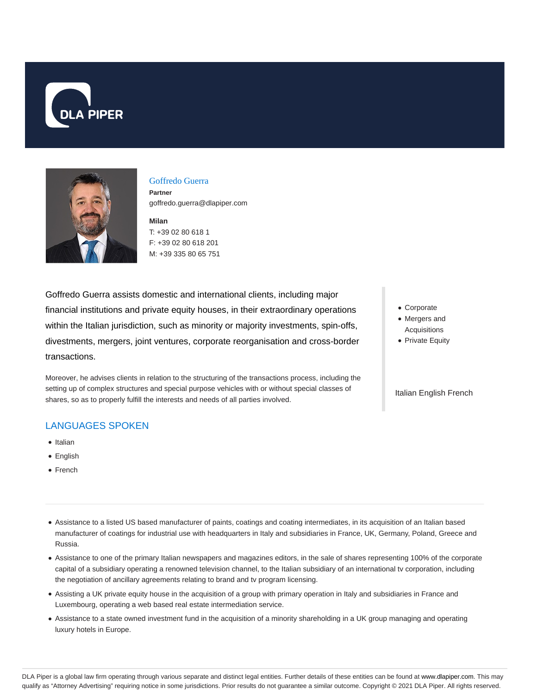



#### Goffredo Guerra

**Partner** goffredo.guerra@dlapiper.com

**Milan** T: +39 02 80 618 1 F: +39 02 80 618 201 M: +39 335 80 65 751

Goffredo Guerra assists domestic and international clients, including major financial institutions and private equity houses, in their extraordinary operations within the Italian jurisdiction, such as minority or majority investments, spin-offs, divestments, mergers, joint ventures, corporate reorganisation and cross-border transactions.

Moreover, he advises clients in relation to the structuring of the transactions process, including the setting up of complex structures and special purpose vehicles with or without special classes of shares, so as to properly fulfill the interests and needs of all parties involved.

# LANGUAGES SPOKEN

- Italian
- **•** English
- French
- Corporate
- Mergers and Acquisitions
- Private Equity

Italian English French

- Assistance to a listed US based manufacturer of paints, coatings and coating intermediates, in its acquisition of an Italian based manufacturer of coatings for industrial use with headquarters in Italy and subsidiaries in France, UK, Germany, Poland, Greece and Russia.
- Assistance to one of the primary Italian newspapers and magazines editors, in the sale of shares representing 100% of the corporate capital of a subsidiary operating a renowned television channel, to the Italian subsidiary of an international tv corporation, including the negotiation of ancillary agreements relating to brand and tv program licensing.
- Assisting a UK private equity house in the acquisition of a group with primary operation in Italy and subsidiaries in France and Luxembourg, operating a web based real estate intermediation service.
- Assistance to a state owned investment fund in the acquisition of a minority shareholding in a UK group managing and operating luxury hotels in Europe.

DLA Piper is a global law firm operating through various separate and distinct legal entities. Further details of these entities can be found at www.dlapiper.com. This may qualify as "Attorney Advertising" requiring notice in some jurisdictions. Prior results do not guarantee a similar outcome. Copyright @ 2021 DLA Piper. All rights reserved.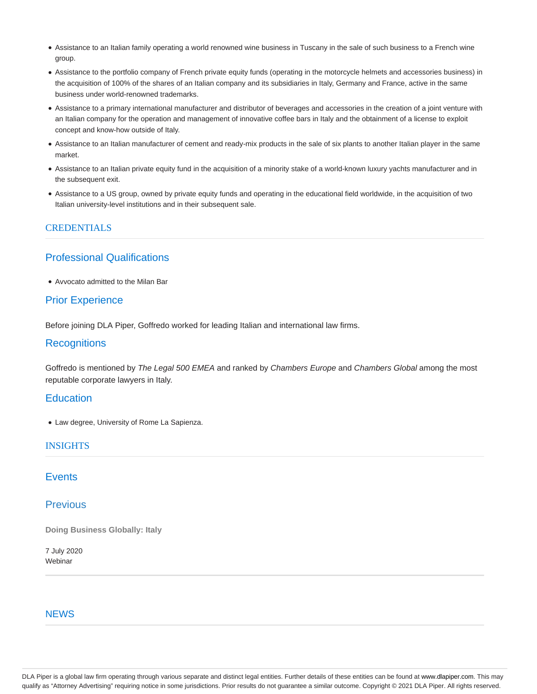- Assistance to an Italian family operating a world renowned wine business in Tuscany in the sale of such business to a French wine group.
- Assistance to the portfolio company of French private equity funds (operating in the motorcycle helmets and accessories business) in the acquisition of 100% of the shares of an Italian company and its subsidiaries in Italy, Germany and France, active in the same business under world-renowned trademarks.
- Assistance to a primary international manufacturer and distributor of beverages and accessories in the creation of a joint venture with an Italian company for the operation and management of innovative coffee bars in Italy and the obtainment of a license to exploit concept and know-how outside of Italy.
- Assistance to an Italian manufacturer of cement and ready-mix products in the sale of six plants to another Italian player in the same market.
- Assistance to an Italian private equity fund in the acquisition of a minority stake of a world-known luxury yachts manufacturer and in the subsequent exit.
- Assistance to a US group, owned by private equity funds and operating in the educational field worldwide, in the acquisition of two Italian university-level institutions and in their subsequent sale.

## CREDENTIALS

# Professional Qualifications

Avvocato admitted to the Milan Bar

# Prior Experience

Before joining DLA Piper, Goffredo worked for leading Italian and international law firms.

### **Recognitions**

Goffredo is mentioned by The Legal 500 EMEA and ranked by Chambers Europe and Chambers Global among the most reputable corporate lawyers in Italy.

### **Education**

Law degree, University of Rome La Sapienza.

#### INSIGHTS

# **Events**

## **Previous**

**Doing Business Globally: Italy**

7 July 2020 Webinar

#### **NFWS**

DLA Piper is a global law firm operating through various separate and distinct legal entities. Further details of these entities can be found at www.dlapiper.com. This may qualify as "Attorney Advertising" requiring notice in some jurisdictions. Prior results do not guarantee a similar outcome. Copyright @ 2021 DLA Piper. All rights reserved.